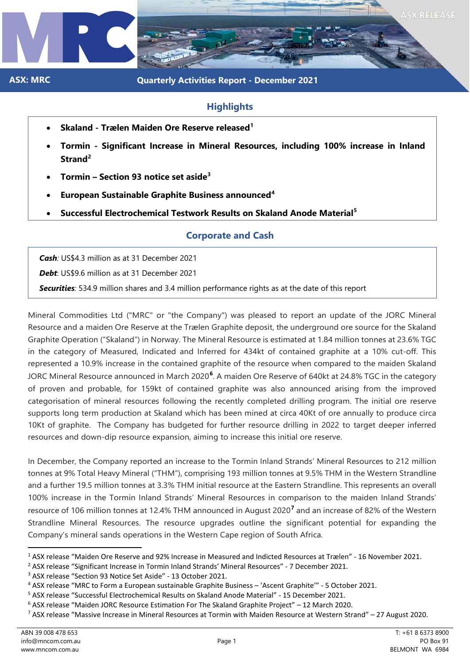

# **ASX: MRC Quarterly Activities Report - December 2021**

# **Highlights**

- **Skaland - Trælen Maiden Ore Reserve released[1](#page-0-0)**
- **Tormin - Significant Increase in Mineral Resources, including 100% increase in Inland Strand[2](#page-0-1)**
- **Tormin – Section 93 notice set aside[3](#page-0-2)**
- **European Sustainable Graphite Business announced[4](#page-0-3)**
- **Successful Electrochemical Testwork Results on Skaland Anode Material[5](#page-0-4)**

# **Corporate and Cash**

*Cash:* US\$4.3 million as at 31 December 2021

*Debt*: US\$9.6 million as at 31 December 2021

*Securities:* 534.9 million shares and 3.4 million performance rights as at the date of this report

Mineral Commodities Ltd ("MRC" or "the Company") was pleased to report an update of the JORC Mineral Resource and a maiden Ore Reserve at the Trælen Graphite deposit, the underground ore source for the Skaland Graphite Operation ("Skaland") in Norway. The Mineral Resource is estimated at 1.84 million tonnes at 23.6% TGC in the category of Measured, Indicated and Inferred for 434kt of contained graphite at a 10% cut-off. This represented a 10.9% increase in the contained graphite of the resource when compared to the maiden Skaland JORC Mineral Resource announced in March 2020**[6](#page-0-5)** . A maiden Ore Reserve of 640kt at 24.8% TGC in the category of proven and probable, for 159kt of contained graphite was also announced arising from the improved categorisation of mineral resources following the recently completed drilling program. The initial ore reserve supports long term production at Skaland which has been mined at circa 40Kt of ore annually to produce circa 10Kt of graphite. The Company has budgeted for further resource drilling in 2022 to target deeper inferred resources and down-dip resource expansion, aiming to increase this initial ore reserve.

In December, the Company reported an increase to the Tormin Inland Strands' Mineral Resources to 212 million tonnes at 9% Total Heavy Mineral ("THM"), comprising 193 million tonnes at 9.5% THM in the Western Strandline and a further 19.5 million tonnes at 3.3% THM initial resource at the Eastern Strandline. This represents an overall 100% increase in the Tormin Inland Strands' Mineral Resources in comparison to the maiden Inland Strands' resource of 106 million tonnes at 12.4% THM announced in August 2020**[7](#page-0-6)** and an increase of 82% of the Western Strandline Mineral Resources. The resource upgrades outline the significant potential for expanding the Company's mineral sands operations in the Western Cape region of South Africa.

**ASX RELEASE** 

<span id="page-0-0"></span><sup>1</sup> ASX release "Maiden Ore Reserve and 92% Increase in Measured and Indicted Resources at Trælen" - 16 November 2021.

<span id="page-0-1"></span><sup>&</sup>lt;sup>2</sup> ASX release "Significant Increase in Tormin Inland Strands' Mineral Resources" - 7 December 2021.

<span id="page-0-2"></span><sup>3</sup> ASX release "Section 93 Notice Set Aside" - 13 October 2021.

<span id="page-0-3"></span><sup>4</sup> ASX release "MRC to Form a European sustainable Graphite Business – 'Ascent Graphite'" - 5 October 2021.

<span id="page-0-4"></span><sup>5</sup> ASX release "Successful Electrochemical Results on Skaland Anode Material" - 15 December 2021.

<span id="page-0-5"></span> $6$  ASX release "Maiden JORC Resource Estimation For The Skaland Graphite Project" – 12 March 2020.

<span id="page-0-6"></span> $7$  ASX release "Massive Increase in Mineral Resources at Tormin with Maiden Resource at Western Strand" – 27 August 2020.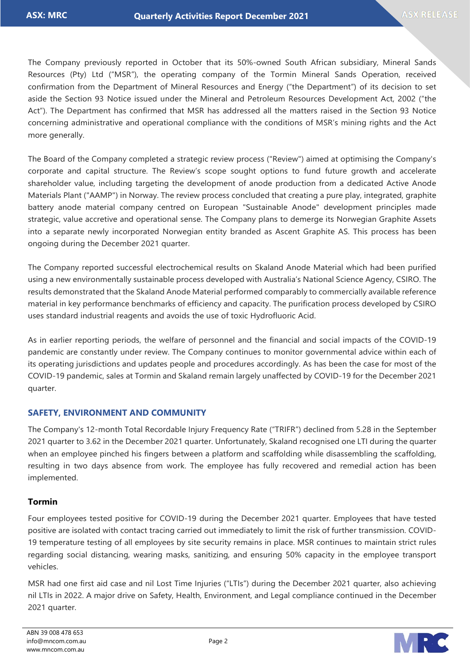The Company previously reported in October that its 50%-owned South African subsidiary, Mineral Sands Resources (Pty) Ltd ("MSR"), the operating company of the Tormin Mineral Sands Operation, received confirmation from the Department of Mineral Resources and Energy ("the Department") of its decision to set aside the Section 93 Notice issued under the Mineral and Petroleum Resources Development Act, 2002 ("the Act"). The Department has confirmed that MSR has addressed all the matters raised in the Section 93 Notice concerning administrative and operational compliance with the conditions of MSR's mining rights and the Act more generally.

The Board of the Company completed a strategic review process ("Review") aimed at optimising the Company's corporate and capital structure. The Review's scope sought options to fund future growth and accelerate shareholder value, including targeting the development of anode production from a dedicated Active Anode Materials Plant ("AAMP") in Norway. The review process concluded that creating a pure play, integrated, graphite battery anode material company centred on European "Sustainable Anode" development principles made strategic, value accretive and operational sense. The Company plans to demerge its Norwegian Graphite Assets into a separate newly incorporated Norwegian entity branded as Ascent Graphite AS. This process has been ongoing during the December 2021 quarter.

The Company reported successful electrochemical results on Skaland Anode Material which had been purified using a new environmentally sustainable process developed with Australia's National Science Agency, CSIRO. The results demonstrated that the Skaland Anode Material performed comparably to commercially available reference material in key performance benchmarks of efficiency and capacity. The purification process developed by CSIRO uses standard industrial reagents and avoids the use of toxic Hydrofluoric Acid.

As in earlier reporting periods, the welfare of personnel and the financial and social impacts of the COVID-19 pandemic are constantly under review. The Company continues to monitor governmental advice within each of its operating jurisdictions and updates people and procedures accordingly. As has been the case for most of the COVID-19 pandemic, sales at Tormin and Skaland remain largely unaffected by COVID-19 for the December 2021 quarter.

## **SAFETY, ENVIRONMENT AND COMMUNITY**

The Company's 12-month Total Recordable Injury Frequency Rate ("TRIFR") declined from 5.28 in the September 2021 quarter to 3.62 in the December 2021 quarter. Unfortunately, Skaland recognised one LTI during the quarter when an employee pinched his fingers between a platform and scaffolding while disassembling the scaffolding, resulting in two days absence from work. The employee has fully recovered and remedial action has been implemented.

#### **Tormin**

Four employees tested positive for COVID-19 during the December 2021 quarter. Employees that have tested positive are isolated with contact tracing carried out immediately to limit the risk of further transmission. COVID-19 temperature testing of all employees by site security remains in place. MSR continues to maintain strict rules regarding social distancing, wearing masks, sanitizing, and ensuring 50% capacity in the employee transport vehicles.

MSR had one first aid case and nil Lost Time Injuries ("LTIs") during the December 2021 quarter, also achieving nil LTIs in 2022. A major drive on Safety, Health, Environment, and Legal compliance continued in the December 2021 quarter.

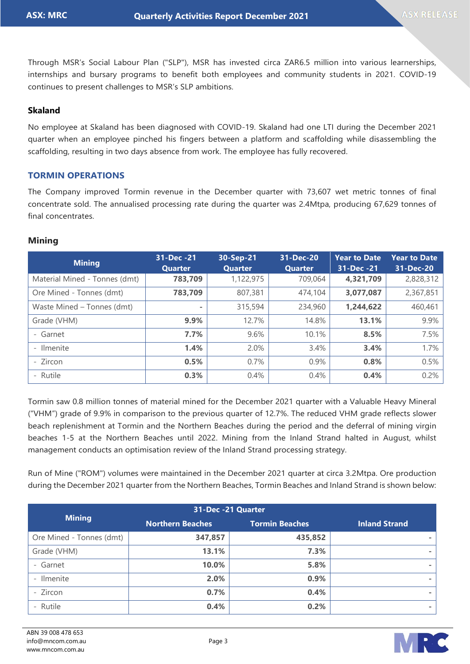Through MSR's Social Labour Plan ("SLP"), MSR has invested circa ZAR6.5 million into various learnerships, internships and bursary programs to benefit both employees and community students in 2021. COVID-19 continues to present challenges to MSR's SLP ambitions.

#### **Skaland**

No employee at Skaland has been diagnosed with COVID-19. Skaland had one LTI during the December 2021 quarter when an employee pinched his fingers between a platform and scaffolding while disassembling the scaffolding, resulting in two days absence from work. The employee has fully recovered.

#### **TORMIN OPERATIONS**

The Company improved Tormin revenue in the December quarter with 73,607 wet metric tonnes of final concentrate sold. The annualised processing rate during the quarter was 2.4Mtpa, producing 67,629 tonnes of final concentrates.

#### **Mining**

| <b>Mining</b>                 | 31-Dec -21<br><b>Quarter</b> | 30-Sep-21<br><b>Quarter</b> | 31-Dec-20<br><b>Quarter</b> | <b>Year to Date</b><br>31-Dec -21 | <b>Year to Date</b><br>31-Dec-20 |
|-------------------------------|------------------------------|-----------------------------|-----------------------------|-----------------------------------|----------------------------------|
| Material Mined - Tonnes (dmt) | 783,709                      | 1,122,975                   | 709,064                     | 4,321,709                         | 2,828,312                        |
| Ore Mined - Tonnes (dmt)      | 783,709                      | 807,381                     | 474,104                     | 3,077,087                         | 2,367,851                        |
| Waste Mined - Tonnes (dmt)    | ۰                            | 315,594                     | 234,960                     | 1,244,622                         | 460,461                          |
| Grade (VHM)                   | 9.9%                         | 12.7%                       | 14.8%                       | 13.1%                             | 9.9%                             |
| - Garnet                      | 7.7%                         | 9.6%                        | 10.1%                       | 8.5%                              | 7.5%                             |
| - Ilmenite                    | 1.4%                         | 2.0%                        | 3.4%                        | 3.4%                              | 1.7%                             |
| - Zircon                      | 0.5%                         | $0.7\%$                     | 0.9%                        | 0.8%                              | 0.5%                             |
| - Rutile                      | 0.3%                         | 0.4%                        | 0.4%                        | 0.4%                              | 0.2%                             |

Tormin saw 0.8 million tonnes of material mined for the December 2021 quarter with a Valuable Heavy Mineral ("VHM") grade of 9.9% in comparison to the previous quarter of 12.7%. The reduced VHM grade reflects slower beach replenishment at Tormin and the Northern Beaches during the period and the deferral of mining virgin beaches 1-5 at the Northern Beaches until 2022. Mining from the Inland Strand halted in August, whilst management conducts an optimisation review of the Inland Strand processing strategy.

Run of Mine ("ROM") volumes were maintained in the December 2021 quarter at circa 3.2Mtpa. Ore production during the December 2021 quarter from the Northern Beaches, Tormin Beaches and Inland Strand is shown below:

| 31-Dec -21 Quarter       |                         |                       |                      |  |  |  |  |
|--------------------------|-------------------------|-----------------------|----------------------|--|--|--|--|
| <b>Mining</b>            | <b>Northern Beaches</b> | <b>Tormin Beaches</b> | <b>Inland Strand</b> |  |  |  |  |
| Ore Mined - Tonnes (dmt) | 347,857                 | 435,852               | ×.                   |  |  |  |  |
| Grade (VHM)              | 13.1%                   | 7.3%                  |                      |  |  |  |  |
| - Garnet                 | 10.0%                   | 5.8%                  | ۰                    |  |  |  |  |
| - Ilmenite               | 2.0%                    | 0.9%                  |                      |  |  |  |  |
| - Zircon                 | 0.7%                    | 0.4%                  |                      |  |  |  |  |
| - Rutile                 | 0.4%                    | 0.2%                  |                      |  |  |  |  |

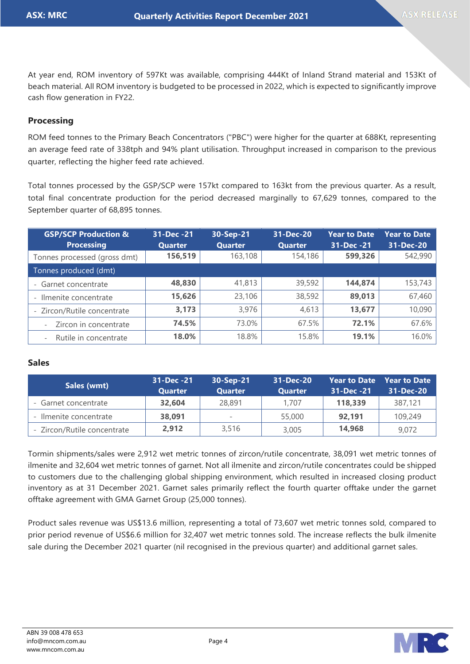At year end, ROM inventory of 597Kt was available, comprising 444Kt of Inland Strand material and 153Kt of beach material. All ROM inventory is budgeted to be processed in 2022, which is expected to significantly improve cash flow generation in FY22.

# **Processing**

ROM feed tonnes to the Primary Beach Concentrators ("PBC") were higher for the quarter at 688Kt, representing an average feed rate of 338tph and 94% plant utilisation. Throughput increased in comparison to the previous quarter, reflecting the higher feed rate achieved.

Total tonnes processed by the GSP/SCP were 157kt compared to 163kt from the previous quarter. As a result, total final concentrate production for the period decreased marginally to 67,629 tonnes, compared to the September quarter of 68,895 tonnes.

| <b>GSP/SCP Production &amp;</b><br><b>Processing</b> | 31-Dec -21<br><b>Quarter</b> | 30-Sep-21<br><b>Quarter</b> | 31-Dec-20<br><b>Quarter</b> | <b>Year to Date</b><br>31-Dec -21 | <b>Year to Date</b><br>31-Dec-20 |
|------------------------------------------------------|------------------------------|-----------------------------|-----------------------------|-----------------------------------|----------------------------------|
| Tonnes processed (gross dmt)                         | 156,519                      | 163,108                     | 154,186                     | 599,326                           | 542,990                          |
| Tonnes produced (dmt)                                |                              |                             |                             |                                   |                                  |
| - Garnet concentrate                                 | 48,830                       | 41,813                      | 39,592                      | 144,874                           | 153,743                          |
| - Ilmenite concentrate                               | 15,626                       | 23,106                      | 38,592                      | 89,013                            | 67,460                           |
| - Zircon/Rutile concentrate                          | 3,173                        | 3,976                       | 4,613                       | 13,677                            | 10,090                           |
| Zircon in concentrate<br>$\sim$                      | 74.5%                        | 73.0%                       | 67.5%                       | 72.1%                             | 67.6%                            |
| Rutile in concentrate<br>$\overline{\phantom{0}}$    | 18.0%                        | 18.8%                       | 15.8%                       | 19.1%                             | 16.0%                            |

## **Sales**

| Sales (wmt)                 | 31-Dec -21<br><b>Quarter</b> | 30-Sep-21<br><b>Quarter</b> | 31-Dec-20<br><b>Quarter</b> | <b>Year to Date</b><br>31-Dec -21 | l Year to Date .<br>31-Dec-20 |
|-----------------------------|------------------------------|-----------------------------|-----------------------------|-----------------------------------|-------------------------------|
| - Garnet concentrate        | 32,604                       | 28,891                      | 1,707                       | 118,339                           | 387,121                       |
| - Ilmenite concentrate      | 38,091                       | $\overline{\phantom{a}}$    | 55,000                      | 92,191                            | 109,249                       |
| - Zircon/Rutile concentrate | 2.912                        | 3,516                       | 3,005                       | 14.968                            | 9.072                         |

Tormin shipments/sales were 2,912 wet metric tonnes of zircon/rutile concentrate, 38,091 wet metric tonnes of ilmenite and 32,604 wet metric tonnes of garnet. Not all ilmenite and zircon/rutile concentrates could be shipped to customers due to the challenging global shipping environment, which resulted in increased closing product inventory as at 31 December 2021. Garnet sales primarily reflect the fourth quarter offtake under the garnet offtake agreement with GMA Garnet Group (25,000 tonnes).

Product sales revenue was US\$13.6 million, representing a total of 73,607 wet metric tonnes sold, compared to prior period revenue of US\$6.6 million for 32,407 wet metric tonnes sold. The increase reflects the bulk ilmenite sale during the December 2021 quarter (nil recognised in the previous quarter) and additional garnet sales.



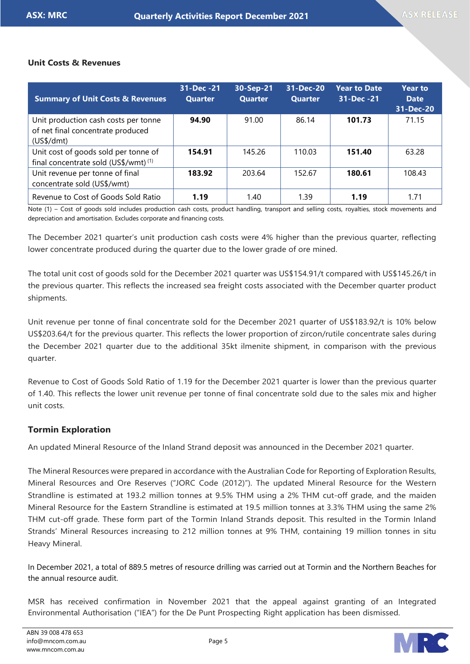## **Unit Costs & Revenues**

| <b>Summary of Unit Costs &amp; Revenues</b>                                              | 31-Dec -21<br><b>Quarter</b> | 30-Sep-21<br><b>Quarter</b> | 31-Dec-20<br><b>Quarter</b> | <b>Year to Date</b><br>31-Dec -21 | <b>Year to</b><br><b>Date</b><br>31-Dec-20 |
|------------------------------------------------------------------------------------------|------------------------------|-----------------------------|-----------------------------|-----------------------------------|--------------------------------------------|
| Unit production cash costs per tonne<br>of net final concentrate produced<br>(US\$/dmt)  | 94.90                        | 91.00                       | 86.14                       | 101.73                            | 71.15                                      |
| Unit cost of goods sold per tonne of<br>final concentrate sold (US\$/wmt) <sup>(1)</sup> | 154.91                       | 145.26                      | 110.03                      | 151.40                            | 63.28                                      |
| Unit revenue per tonne of final<br>concentrate sold (US\$/wmt)                           | 183.92                       | 203.64                      | 152.67                      | 180.61                            | 108.43                                     |
| Revenue to Cost of Goods Sold Ratio                                                      | 1.19                         | 1.40                        | 1.39                        | 1.19                              | 1.71                                       |

Note (1) – Cost of goods sold includes production cash costs, product handling, transport and selling costs, royalties, stock movements and depreciation and amortisation. Excludes corporate and financing costs.

The December 2021 quarter's unit production cash costs were 4% higher than the previous quarter, reflecting lower concentrate produced during the quarter due to the lower grade of ore mined.

The total unit cost of goods sold for the December 2021 quarter was US\$154.91/t compared with US\$145.26/t in the previous quarter. This reflects the increased sea freight costs associated with the December quarter product shipments.

Unit revenue per tonne of final concentrate sold for the December 2021 quarter of US\$183.92/t is 10% below US\$203.64/t for the previous quarter. This reflects the lower proportion of zircon/rutile concentrate sales during the December 2021 quarter due to the additional 35kt ilmenite shipment, in comparison with the previous quarter.

Revenue to Cost of Goods Sold Ratio of 1.19 for the December 2021 quarter is lower than the previous quarter of 1.40. This reflects the lower unit revenue per tonne of final concentrate sold due to the sales mix and higher unit costs.

## **Tormin Exploration**

An updated Mineral Resource of the Inland Strand deposit was announced in the December 2021 quarter.

The Mineral Resources were prepared in accordance with the Australian Code for Reporting of Exploration Results, Mineral Resources and Ore Reserves ("JORC Code (2012)"). The updated Mineral Resource for the Western Strandline is estimated at 193.2 million tonnes at 9.5% THM using a 2% THM cut-off grade, and the maiden Mineral Resource for the Eastern Strandline is estimated at 19.5 million tonnes at 3.3% THM using the same 2% THM cut-off grade. These form part of the Tormin Inland Strands deposit. This resulted in the Tormin Inland Strands' Mineral Resources increasing to 212 million tonnes at 9% THM, containing 19 million tonnes in situ Heavy Mineral.

In December 2021, a total of 889.5 metres of resource drilling was carried out at Tormin and the Northern Beaches for the annual resource audit.

MSR has received confirmation in November 2021 that the appeal against granting of an Integrated Environmental Authorisation ("IEA") for the De Punt Prospecting Right application has been dismissed.

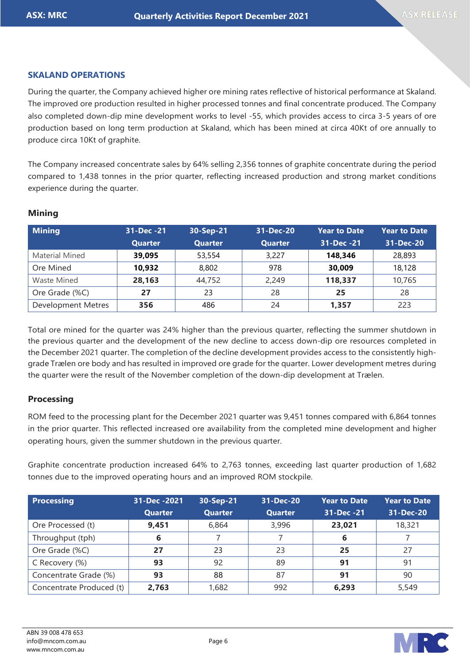## **SKALAND OPERATIONS**

During the quarter, the Company achieved higher ore mining rates reflective of historical performance at Skaland. The improved ore production resulted in higher processed tonnes and final concentrate produced. The Company also completed down-dip mine development works to level -55, which provides access to circa 3-5 years of ore production based on long term production at Skaland, which has been mined at circa 40Kt of ore annually to produce circa 10Kt of graphite.

The Company increased concentrate sales by 64% selling 2,356 tonnes of graphite concentrate during the period compared to 1,438 tonnes in the prior quarter, reflecting increased production and strong market conditions experience during the quarter.

## **Mining**

| <b>Mining</b>             | 31-Dec -21     | 30-Sep-21      | 31-Dec-20      | <b>Year to Date</b> | <b>Year to Date</b> |
|---------------------------|----------------|----------------|----------------|---------------------|---------------------|
|                           | <b>Quarter</b> | <b>Quarter</b> | <b>Quarter</b> | 31-Dec -21          | 31-Dec-20           |
| Material Mined            | 39,095         | 53,554         | 3,227          | 148,346             | 28,893              |
| Ore Mined                 | 10,932         | 8,802          | 978            | 30,009              | 18,128              |
| <b>Waste Mined</b>        | 28,163         | 44,752         | 2,249          | 118,337             | 10,765              |
| Ore Grade (%C)            | 27             | 23             | 28             | 25                  | 28                  |
| <b>Development Metres</b> | 356            | 486            | 24             | 1,357               | 223                 |

Total ore mined for the quarter was 24% higher than the previous quarter, reflecting the summer shutdown in the previous quarter and the development of the new decline to access down-dip ore resources completed in the December 2021 quarter. The completion of the decline development provides access to the consistently highgrade Trælen ore body and has resulted in improved ore grade for the quarter. Lower development metres during the quarter were the result of the November completion of the down-dip development at Trælen.

## **Processing**

ROM feed to the processing plant for the December 2021 quarter was 9,451 tonnes compared with 6,864 tonnes in the prior quarter. This reflected increased ore availability from the completed mine development and higher operating hours, given the summer shutdown in the previous quarter.

Graphite concentrate production increased 64% to 2,763 tonnes, exceeding last quarter production of 1,682 tonnes due to the improved operating hours and an improved ROM stockpile.

| <b>Processing</b>        | 31-Dec -2021   | 30-Sep-21      | 31-Dec-20 | <b>Year to Date</b> | <b>Year to Date</b> |
|--------------------------|----------------|----------------|-----------|---------------------|---------------------|
|                          | <b>Quarter</b> | <b>Quarter</b> | Quarter   | 31-Dec -21          | 31-Dec-20           |
| Ore Processed (t)        | 9.451          | 6,864          | 3,996     | 23,021              | 18,321              |
| Throughput (tph)         | 6              |                |           | 6                   |                     |
| Ore Grade (%C)           | 27             | 23             | 23        | 25                  | 27                  |
| C Recovery (%)           | 93             | 92             | 89        | 91                  | 91                  |
| Concentrate Grade (%)    | 93             | 88             | 87        | 91                  | 90                  |
| Concentrate Produced (t) | 2,763          | 1,682          | 992       | 6,293               | 5,549               |

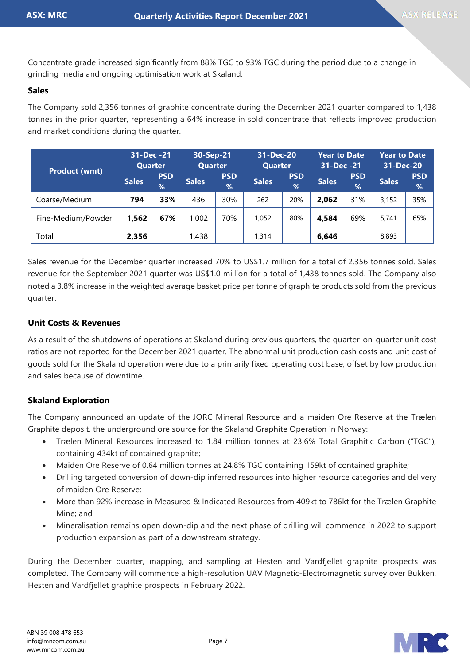Concentrate grade increased significantly from 88% TGC to 93% TGC during the period due to a change in grinding media and ongoing optimisation work at Skaland.

## **Sales**

The Company sold 2,356 tonnes of graphite concentrate during the December 2021 quarter compared to 1,438 tonnes in the prior quarter, representing a 64% increase in sold concentrate that reflects improved production and market conditions during the quarter.

|                      | 31-Dec -21<br><b>Quarter</b> |                 | 31-Dec-20<br>30-Sep-21<br>Quarter<br><b>Quarter</b> |                 | <b>Year to Date</b><br>31-Dec -21 |                 | <b>Year to Date</b><br>31-Dec-20 |                             |              |                 |
|----------------------|------------------------------|-----------------|-----------------------------------------------------|-----------------|-----------------------------------|-----------------|----------------------------------|-----------------------------|--------------|-----------------|
| <b>Product (wmt)</b> | <b>Sales</b>                 | <b>PSD</b><br>% | <b>Sales</b>                                        | <b>PSD</b><br>% | <b>Sales</b>                      | <b>PSD</b><br>% | <b>Sales</b>                     | <b>PSD</b><br>$\frac{9}{6}$ | <b>Sales</b> | <b>PSD</b><br>% |
| Coarse/Medium        | 794                          | 33%             | 436                                                 | 30%             | 262                               | 20%             | 2,062                            | 31%                         | 3.152        | 35%             |
| Fine-Medium/Powder   | 1,562                        | 67%             | 1,002                                               | 70%             | 1.052                             | 80%             | 4,584                            | 69%                         | 5.741        | 65%             |
| Total                | 2,356                        |                 | 1,438                                               |                 | 1,314                             |                 | 6,646                            |                             | 8,893        |                 |

Sales revenue for the December quarter increased 70% to US\$1.7 million for a total of 2,356 tonnes sold. Sales revenue for the September 2021 quarter was US\$1.0 million for a total of 1,438 tonnes sold. The Company also noted a 3.8% increase in the weighted average basket price per tonne of graphite products sold from the previous quarter.

## **Unit Costs & Revenues**

As a result of the shutdowns of operations at Skaland during previous quarters, the quarter-on-quarter unit cost ratios are not reported for the December 2021 quarter. The abnormal unit production cash costs and unit cost of goods sold for the Skaland operation were due to a primarily fixed operating cost base, offset by low production and sales because of downtime.

## **Skaland Exploration**

The Company announced an update of the JORC Mineral Resource and a maiden Ore Reserve at the Trælen Graphite deposit, the underground ore source for the Skaland Graphite Operation in Norway:

- Trælen Mineral Resources increased to 1.84 million tonnes at 23.6% Total Graphitic Carbon ("TGC"), containing 434kt of contained graphite;
- Maiden Ore Reserve of 0.64 million tonnes at 24.8% TGC containing 159kt of contained graphite;
- Drilling targeted conversion of down-dip inferred resources into higher resource categories and delivery of maiden Ore Reserve;
- More than 92% increase in Measured & Indicated Resources from 409kt to 786kt for the Trælen Graphite Mine; and
- Mineralisation remains open down-dip and the next phase of drilling will commence in 2022 to support production expansion as part of a downstream strategy.

During the December quarter, mapping, and sampling at Hesten and Vardfjellet graphite prospects was completed. The Company will commence a high-resolution UAV Magnetic-Electromagnetic survey over Bukken, Hesten and Vardfjellet graphite prospects in February 2022.

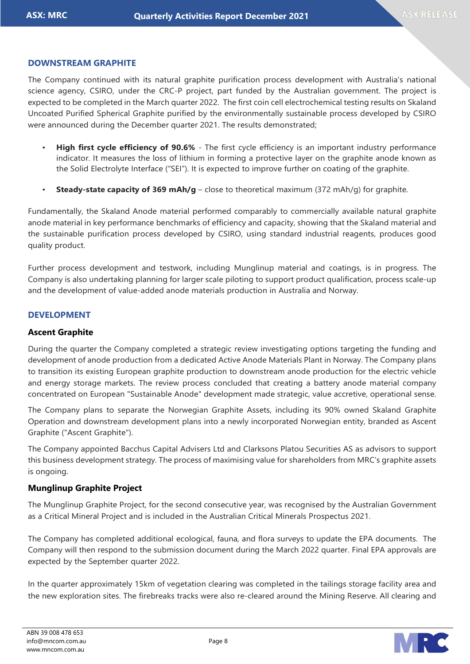#### **DOWNSTREAM GRAPHITE**

The Company continued with its natural graphite purification process development with Australia's national science agency, CSIRO, under the CRC-P project, part funded by the Australian government. The project is expected to be completed in the March quarter 2022. The first coin cell electrochemical testing results on Skaland Uncoated Purified Spherical Graphite purified by the environmentally sustainable process developed by CSIRO were announced during the December quarter 2021. The results demonstrated;

- **High first cycle efficiency of 90.6%**  The first cycle efficiency is an important industry performance indicator. It measures the loss of lithium in forming a protective layer on the graphite anode known as the Solid Electrolyte Interface ("SEI"). It is expected to improve further on coating of the graphite.
- **Steady-state capacity of 369 mAh/g** close to theoretical maximum (372 mAh/g) for graphite.

Fundamentally, the Skaland Anode material performed comparably to commercially available natural graphite anode material in key performance benchmarks of efficiency and capacity, showing that the Skaland material and the sustainable purification process developed by CSIRO, using standard industrial reagents, produces good quality product.

Further process development and testwork, including Munglinup material and coatings, is in progress. The Company is also undertaking planning for larger scale piloting to support product qualification, process scale-up and the development of value-added anode materials production in Australia and Norway.

#### **DEVELOPMENT**

#### **Ascent Graphite**

During the quarter the Company completed a strategic review investigating options targeting the funding and development of anode production from a dedicated Active Anode Materials Plant in Norway. The Company plans to transition its existing European graphite production to downstream anode production for the electric vehicle and energy storage markets. The review process concluded that creating a battery anode material company concentrated on European "Sustainable Anode" development made strategic, value accretive, operational sense.

The Company plans to separate the Norwegian Graphite Assets, including its 90% owned Skaland Graphite Operation and downstream development plans into a newly incorporated Norwegian entity, branded as Ascent Graphite ("Ascent Graphite").

The Company appointed Bacchus Capital Advisers Ltd and Clarksons Platou Securities AS as advisors to support this business development strategy. The process of maximising value for shareholders from MRC's graphite assets is ongoing.

#### **Munglinup Graphite Project**

The Munglinup Graphite Project, for the second consecutive year, was recognised by the Australian Government as a Critical Mineral Project and is included in the Australian Critical Minerals Prospectus 2021.

The Company has completed additional ecological, fauna, and flora surveys to update the EPA documents. The Company will then respond to the submission document during the March 2022 quarter. Final EPA approvals are expected by the September quarter 2022.

In the quarter approximately 15km of vegetation clearing was completed in the tailings storage facility area and the new exploration sites. The firebreaks tracks were also re-cleared around the Mining Reserve. All clearing and

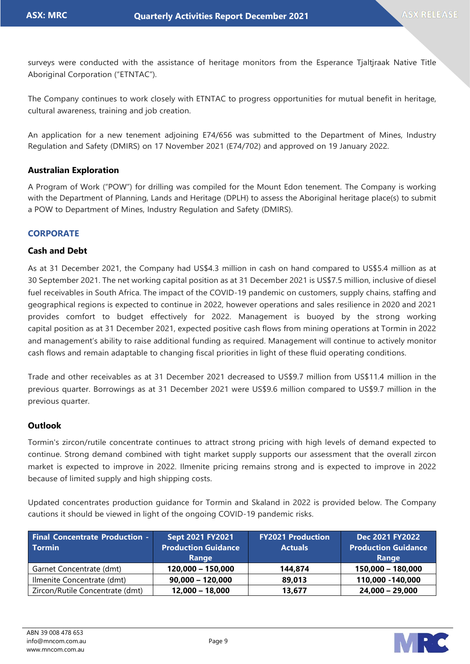surveys were conducted with the assistance of heritage monitors from the Esperance Tjaltjraak Native Title Aboriginal Corporation ("ETNTAC").

The Company continues to work closely with ETNTAC to progress opportunities for mutual benefit in heritage, cultural awareness, training and job creation.

An application for a new tenement adjoining E74/656 was submitted to the Department of Mines, Industry Regulation and Safety (DMIRS) on 17 November 2021 (E74/702) and approved on 19 January 2022.

#### **Australian Exploration**

A Program of Work ("POW") for drilling was compiled for the Mount Edon tenement. The Company is working with the Department of Planning, Lands and Heritage (DPLH) to assess the Aboriginal heritage place(s) to submit a POW to Department of Mines, Industry Regulation and Safety (DMIRS).

#### **CORPORATE**

#### **Cash and Debt**

As at 31 December 2021, the Company had US\$4.3 million in cash on hand compared to US\$5.4 million as at 30 September 2021. The net working capital position as at 31 December 2021 is US\$7.5 million, inclusive of diesel fuel receivables in South Africa. The impact of the COVID-19 pandemic on customers, supply chains, staffing and geographical regions is expected to continue in 2022, however operations and sales resilience in 2020 and 2021 provides comfort to budget effectively for 2022. Management is buoyed by the strong working capital position as at 31 December 2021, expected positive cash flows from mining operations at Tormin in 2022 and management's ability to raise additional funding as required. Management will continue to actively monitor cash flows and remain adaptable to changing fiscal priorities in light of these fluid operating conditions.

Trade and other receivables as at 31 December 2021 decreased to US\$9.7 million from US\$11.4 million in the previous quarter. Borrowings as at 31 December 2021 were US\$9.6 million compared to US\$9.7 million in the previous quarter.

#### **Outlook**

Tormin's zircon/rutile concentrate continues to attract strong pricing with high levels of demand expected to continue. Strong demand combined with tight market supply supports our assessment that the overall zircon market is expected to improve in 2022. Ilmenite pricing remains strong and is expected to improve in 2022 because of limited supply and high shipping costs.

Updated concentrates production guidance for Tormin and Skaland in 2022 is provided below. The Company cautions it should be viewed in light of the ongoing COVID-19 pandemic risks.

| <b>Final Concentrate Production -</b><br>Tormin | Sept 2021 FY2021<br><b>Production Guidance</b><br>Range | <b>FY2021 Production</b><br><b>Actuals</b> | Dec 2021 FY2022<br><b>Production Guidance</b><br>Range |
|-------------------------------------------------|---------------------------------------------------------|--------------------------------------------|--------------------------------------------------------|
| Garnet Concentrate (dmt)                        | $120,000 - 150,000$                                     | 144.874                                    | $150,000 - 180,000$                                    |
| Ilmenite Concentrate (dmt)                      | $90,000 - 120,000$                                      | 89,013                                     | 110,000 - 140,000                                      |
| Zircon/Rutile Concentrate (dmt)                 | $12,000 - 18,000$                                       | 13,677                                     | $24,000 - 29,000$                                      |

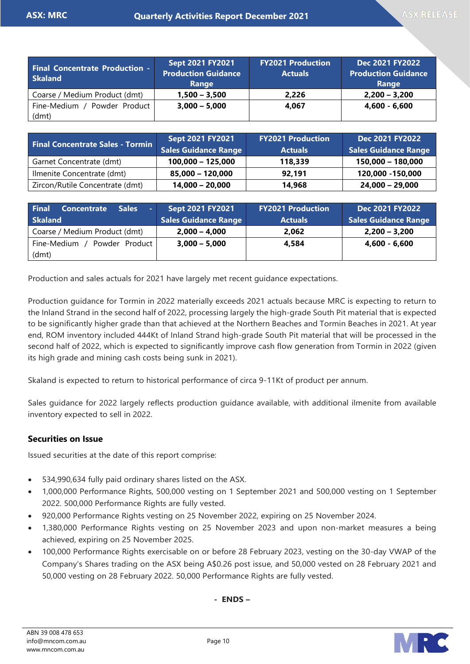| <b>Final Concentrate Production -</b><br><b>Skaland</b> | Sept 2021 FY2021<br><b>Production Guidance</b><br>Range | <b>FY2021 Production</b><br><b>Actuals</b> | Dec 2021 FY2022<br><b>Production Guidance</b><br>Range |
|---------------------------------------------------------|---------------------------------------------------------|--------------------------------------------|--------------------------------------------------------|
| Coarse / Medium Product (dmt)                           | $1.500 - 3.500$                                         | 2.226                                      | $2,200 - 3,200$                                        |
| Fine-Medium / Powder Product I                          | $3.000 - 5.000$                                         | 4.067                                      | $4.600 - 6.600$                                        |
| (dmt)                                                   |                                                         |                                            |                                                        |

| <b>Final Concentrate Sales - Tormin</b> | Sept 2021 FY2021<br>Sales Guidance Range | <b>FY2021 Production</b><br><b>Actuals</b> | Dec 2021 FY2022<br><b>Sales Guidance Range</b> |  |
|-----------------------------------------|------------------------------------------|--------------------------------------------|------------------------------------------------|--|
| Garnet Concentrate (dmt)                | $100,000 - 125,000$                      | 118,339                                    | 150,000 - 180,000                              |  |
| Ilmenite Concentrate (dmt)              | 85,000 - 120,000                         | 92,191                                     | 120,000 - 150,000                              |  |
| Zircon/Rutile Concentrate (dmt)         | $14,000 - 20,000$                        | 14,968                                     | $24,000 - 29,000$                              |  |

| <b>Final</b><br>Concentrate<br>Sales <sup>1</sup><br>$\sim$ | Sept 2021 FY2021            | <b>FY2021 Production</b> | Dec 2021 FY2022             |  |  |
|-------------------------------------------------------------|-----------------------------|--------------------------|-----------------------------|--|--|
| <b>Skaland</b>                                              | <b>Sales Guidance Range</b> | <b>Actuals</b>           | <b>Sales Guidance Range</b> |  |  |
| Coarse / Medium Product (dmt)                               | $2,000 - 4,000$             | 2.062                    | $2,200 - 3,200$             |  |  |
| Fine-Medium / Powder Product                                | $3,000 - 5,000$             | 4.584                    | 4,600 - 6,600               |  |  |
| (dmt)                                                       |                             |                          |                             |  |  |

Production and sales actuals for 2021 have largely met recent guidance expectations.

Production guidance for Tormin in 2022 materially exceeds 2021 actuals because MRC is expecting to return to the Inland Strand in the second half of 2022, processing largely the high-grade South Pit material that is expected to be significantly higher grade than that achieved at the Northern Beaches and Tormin Beaches in 2021. At year end, ROM inventory included 444Kt of Inland Strand high-grade South Pit material that will be processed in the second half of 2022, which is expected to significantly improve cash flow generation from Tormin in 2022 (given its high grade and mining cash costs being sunk in 2021).

Skaland is expected to return to historical performance of circa 9-11Kt of product per annum.

Sales guidance for 2022 largely reflects production guidance available, with additional ilmenite from available inventory expected to sell in 2022.

## **Securities on Issue**

Issued securities at the date of this report comprise:

- 534,990,634 fully paid ordinary shares listed on the ASX.
- 1,000,000 Performance Rights, 500,000 vesting on 1 September 2021 and 500,000 vesting on 1 September 2022. 500,000 Performance Rights are fully vested.
- 920,000 Performance Rights vesting on 25 November 2022, expiring on 25 November 2024.
- 1,380,000 Performance Rights vesting on 25 November 2023 and upon non-market measures a being achieved, expiring on 25 November 2025.
- 100,000 Performance Rights exercisable on or before 28 February 2023, vesting on the 30-day VWAP of the Company's Shares trading on the ASX being A\$0.26 post issue, and 50,000 vested on 28 February 2021 and 50,000 vesting on 28 February 2022. 50,000 Performance Rights are fully vested.

**- ENDS –**